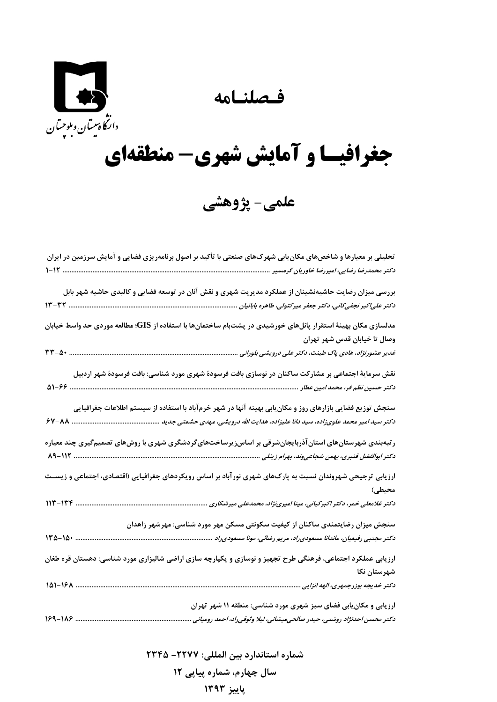**فـصلنـامه** 



## **جغرافيـا و آمايش شهري- منطقهاي**

**علمي- پژوهشي** 

| تحلیلی بر معیارها و شاخصهای مکان بابی شهرکهای صنعتی با تأکید بر اصول برنامهریزی فضایی و آمایش سرزمین در ایران<br>دکتر محمدرضا رضایی، امیررضا خاوریان گرمسیر         |
|---------------------------------------------------------------------------------------------------------------------------------------------------------------------|
| بررسی میزان رضایت حاشیهنشینان از عملکرد مدیریت شهری و نقش آنان در توسعه فضایی و کالبدی حاشیه شهر بابل                                                               |
| مدلسازی مکان بهینهٔ استقرار پانلهای خورشیدی در پشتبام ساختمانها با استفاده از GIS؛ مطالعه موردی حد واسط خیابان                                                      |
| وصال تا خیابان قدس شهر تهران                                                                                                                                        |
| نقش سرمایهٔ اجتماعی بر مشارکت ساکنان در نوسازی بافت فرسودهٔ شهری مورد شناسی: بافت فرسودهٔ شهر اردبیل                                                                |
| سنجش توزیع فضایی بازارهای روز و مکان یابی بهینه آنها در شهر خرمآباد با استفاده از سیستم اطلاعات جغرافیایی                                                           |
| ر تبهبندی شهرستانهای استان آذربایجانشرقی بر اساسiیریرساختهایگردشگری شهری با روشهای تصمیمگیری چند معیاره                                                             |
| ارزیابی ترجیحی شهروندان نسبت به پارکهای شهری نورآباد بر اساس رویکردهای جغرافیایی (اقتصادی، اجتماعی و زیســت<br>محيطى)                                               |
| دکتر غلامعلی خمر، دکتر اکبرکیانی، مینا امیرینژاد، محمدعلی میرشکاری<br>$117 - 177$                                                                                   |
| سنجش میزان رضایتمندی ساکنان از کیفیت سکونتی مسکن مهر مورد شناسی: مهرشهر زاهدان<br>$140 - 10$<br>دکتر مجتبی رفیعیان، ماندانا مسعودی راد، مریم رضائی، مونا مسعودی راد |
| ارزیابی عملکرد اجتماعی، فرهنگی طرح تجهیز و نوسازی و یکپارچه سازی اراضی شالیزاری مورد شناسی: دهستان قره طغان                                                         |
| شهرستان نكا<br>141-181                                                                                                                                              |
| ارزیابی و مکان یابی فضای سبز شهری مورد شناسی: منطقه ۱۱ شهر تهران<br>دکتر محسن احدنژاد روشتی، حیدر صالحیمیشانی، لیلا وثوقیراد، احمد رومیانی                          |

**شماره استاندارد بين المللي: -2277 2345**

**سال چهارم، شماره پياپي 12**